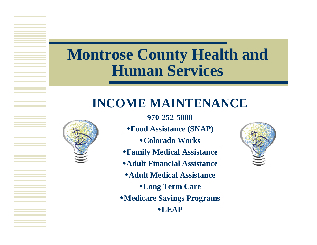#### **Montrose County Health and Human Services**

#### **INCOME MAINTENANCE**



**970-252-5000**

- **Food Assistance (SNAP)**
	- **Colorado Works**
- **Family Medical Assistance**
- **Adult Financial Assistance**
- **Adult Medical Assistance**
	- **Long Term Care**
- **Medicare Savings Programs**

**LEAP** 

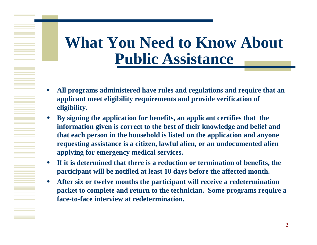#### **What You Need to Know About Public Assistance**

- ♦ **All programs administered have rules and regulations and require that an applicant meet eligibility requirements and provide verification of eligibility.**
- ♦ **By signing the application for benefits, an applicant certifies that the information given is correct to the best of their knowledge and belief and that each person in the household is listed on the application and anyone requesting assistance is a citizen, lawful alien, or an undocumented alien applying for emergency medical services.**
- **If it is determined that there is a reduction or termination of benefits, the participant will be notified at least 10 days before the affected month.**
- $\blacklozenge$  **After six or twelve months the participant will receive a redetermination packet to complete and return to the technician. Some programs require a face-to-face interview at redetermination.**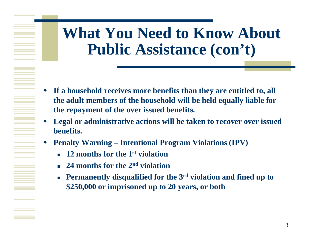#### **What You Need to Know About Public Assistance (con't)**

- **If a household receives more benefits than they are entitled to, all the adult members of the household will be held equally liable for the repayment of the over issued benefits.**
- ♦ **Legal or administrative actions will be taken to recover over issued benefits.**
- ◆ **Penalty Warning – Intentional Program Violations (IPV)**
	- **12 months for the 1st violation**
	- **24 months for the 2nd violation**
	- **Permanently disqualified for the 3rd violation and fined up to \$250,000 or imprisoned up to 20 years, or both**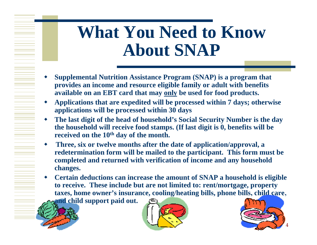# **What You Need to Know About SNAP**

- ◆ **Supplemental Nutrition Assistance Program (SNAP) is a program that provides an income and resource eligible family or adult with benefits available on an EBT card that may only be used for food products.**
- ◆ **Applications that are expedited will be processed within 7 days; otherwise applications will be processed within 30 days**
- ◆ **The last digit of the head of household's Social Security Number is the day the household will receive food stamps. (If last digit is 0, benefits will be received on the 10th day of the month.**
- $\bullet$  **Three, six or twelve months after the date of application/approval, a redetermination form will be mailed to the participant. This form must be completed and returned with verification of income and any household changes.**
- ◆ **Certain deductions can increase the amount of SNAP a household is eligible to receive. These include but are not limited to: rent/mortgage, property taxes, home owner's insurance, cooling/heating bills, phone bills, child care,** 
	- **and child support paid out.**



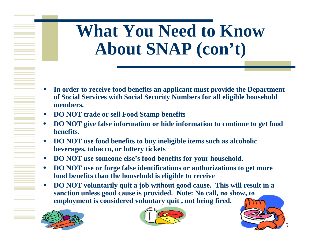# **What You Need to Know About SNAP (con't)**

- ♦ **In order to receive food benefits an applicant must provide the Department of Social Services with Social Security Numbers for all eligible household members.**
- ♦ **DO NOT trade or sell Food Stamp benefits**
- ♦ **DO NOT give false information or hide information to continue to get food benefits.**
- ♦ **DO NOT use food benefits to buy ineligible items such as alcoholic beverages, tobacco, or lottery tickets**
- ♦ **DO NOT use someone else's food benefits for your household.**
- $\bullet$  **DO NOT use or forge false identifications or authorizations to get more food benefits than the household is eligible to receive**
- ♦ **DO NOT voluntarily quit a job without good cause. This will result in a sanction unless good cause is provided. Note: No call, no show, to employment is considered voluntary quit , not being fired.**





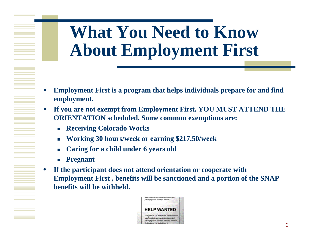# **What You Need to Know About Employment First**

- $\blacklozenge$  **Employment First is a program that helps individuals prepare for and find employment.**
- ♦ **If you are not exempt from Employment First, YOU MUST ATTEND THE ORIENTATION scheduled. Some common exemptions are:**
	- $\mathcal{L}_{\mathcal{A}}$ **Receiving Colorado Works**
	- $\mathcal{L}_{\mathcal{A}}$ **Working 30 hours/week or earning \$217.50/week**
	- **Caring for a child under 6 years old**
	- $\mathcal{L}_{\mathcal{A}}$ **Pregnant**
- $\blacklozenge$  **If the participant does not attend orientation or cooperate with Employment First , benefits will be sanctioned and a portion of the SNAP benefits will be withheld.**

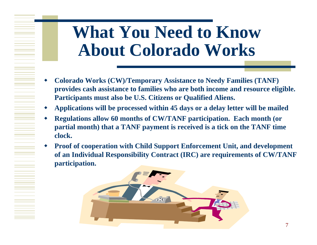## **What You Need to Know About Colorado Works**

- ♦ **Colorado Works (CW)/Temporary Assistance to Needy Families (TANF) provides cash assistance to families who are both income and resource eligible. Participants must also be U.S. Citizens or Qualified Aliens.**
- $\blacklozenge$ **Applications will be processed within 45 days or a delay letter will be mailed**
- ♦ **Regulations allow 60 months of CW/TANF participation. Each month (or partial month) that a TANF payment is received is a tick on the TANF time clock.**
- ♦ **Proof of cooperation with Child Support Enforcement Unit, and development of an Individual Responsibility Contract (IRC) are requirements of CW/TANF participation.**

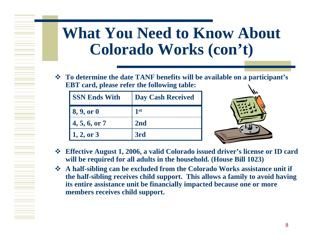#### **What You Need to Know About Colorado Works (con't)**

 **To determine the date TANF benefits will be available on a participant's EBT card, please refer the following table:**

| <b>SSN Ends With</b> | <b>Day Cash Received</b> |
|----------------------|--------------------------|
| 8, 9, or 0           | 1 <sup>st</sup>          |
| 4, 5, 6, or 7        | 2 <sub>nd</sub>          |
| 1, 2, 0r 3           | 3rd                      |



- **Effective August 1, 2006, a valid Colorado issued driver's license or ID card will be required for all adults in the household. (House Bill 1023)**
- **A half-sibling can be excluded from the Colorado Works assistance unit if the half-sibling receives child support. This allows a family to avoid having its entire assistance unit be financially impacted because one or more members receives child support.**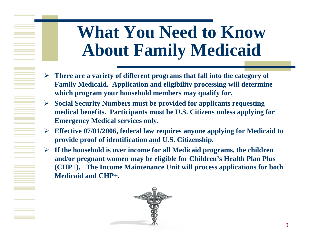# **What You Need to Know About Family Medicaid**

- **There are a variety of different programs that fall into the category of Family Medicaid. Application and eligibility processing will determine which program your household members may qualify for.**
- $\blacktriangleright$  **Social Security Numbers must be provided for applicants requesting medical benefits. Participants must be U.S. Citizens unless applying for Emergency Medical services only.**
- **Effective 07/01/2006, federal law requires anyone applying for Medicaid to provide proof of identification and U.S. Citizenship.**
- **If the household is over income for all Medicaid programs, the children and/or pregnant women may be eligible for Children's Health Plan Plus (CHP+). The Income Maintenance Unit will process applications for both Medicaid and CHP+.**

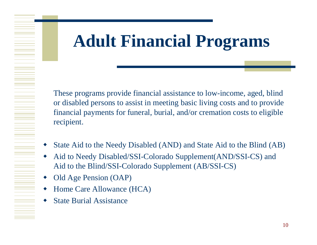#### **Adult Financial Programs**

These programs provide financial assistance to low-income, aged, blind or disabled persons to assist in meeting basic living costs and to provide financial payments for funeral, burial, and/or cremation costs to eligible recipient.

- ◆ State Aid to the Needy Disabled (AND) and State Aid to the Blind (AB)
- ♦ Aid to Needy Disabled/SSI-Colorado Supplement(AND/SSI-CS) and Aid to the Blind/SSI-Colorado Supplement (AB/SSI-CS)
- $\blacklozenge$ Old Age Pension (OAP)
- ♦ Home Care Allowance (HCA)
- ♦ State Burial Assistance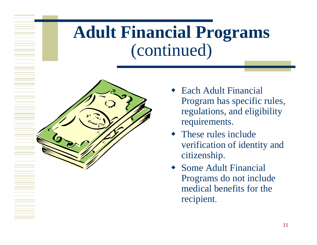## **Adult Financial Programs** (continued)



- ◆ Each Adult Financial Program has specific rules, regulations, and eligibility requirements.
- These rules include verification of identity and citizenship.
- Some Adult Financial Programs do not include medical benefits for the recipient.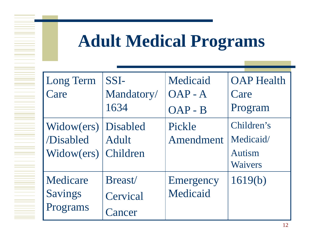#### **Adult Medical Programs**

| Long Term      | SSI-            | Medicaid  | <b>OAP Health</b> |
|----------------|-----------------|-----------|-------------------|
| Care           | Mandatory/      | $OAP - A$ | Care              |
|                | 1634            | $OAP - B$ | Program           |
| Widow(ers)     | <b>Disabled</b> | Pickle    | Children's        |
| /Disabled      | Adult           | Amendment | Medicaid/         |
| Widthers)      | Children        |           | <b>Autism</b>     |
|                |                 |           | <b>Waivers</b>    |
| Medicare       | Breast/         | Emergency | 1619(b)           |
| <b>Savings</b> | Cervical        | Medicaid  |                   |
| Programs       | Cancer          |           |                   |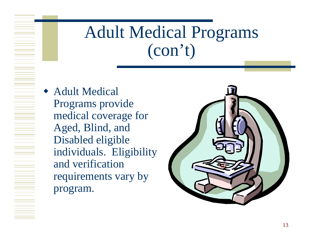# Adult Medical Programs (con't)

 Adult Medical Programs provide medical coverage for Aged, Blind, and Disabled eligible individuals. Eligibility and verification requirements vary by program.

♦

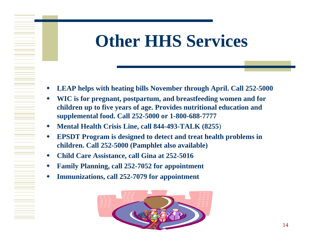#### **Other HHS Services**

- **LEAP helps with heating bills November through April. Call 252-5000**
- ♦ **WIC is for pregnant, postpartum, and breastfeeding women and for children up to five years of age. Provides nutritional education and supplemental food. Call 252-5000 or 1-800-688-7777**
- **Mental Health Crisis Line, call 844-493-TALK (8255** )
- **EPSDT Program is designed to detect and treat health problems in children. Call 252-5000 (Pamphlet also available)**
- $\bullet$ **Child Care Assistance, call Gina at 252-5016**
- ۰ **Family Planning, call 252-7052 for appointment**
- $\blacklozenge$ **Immunizations, call 252-7079 for appointment**